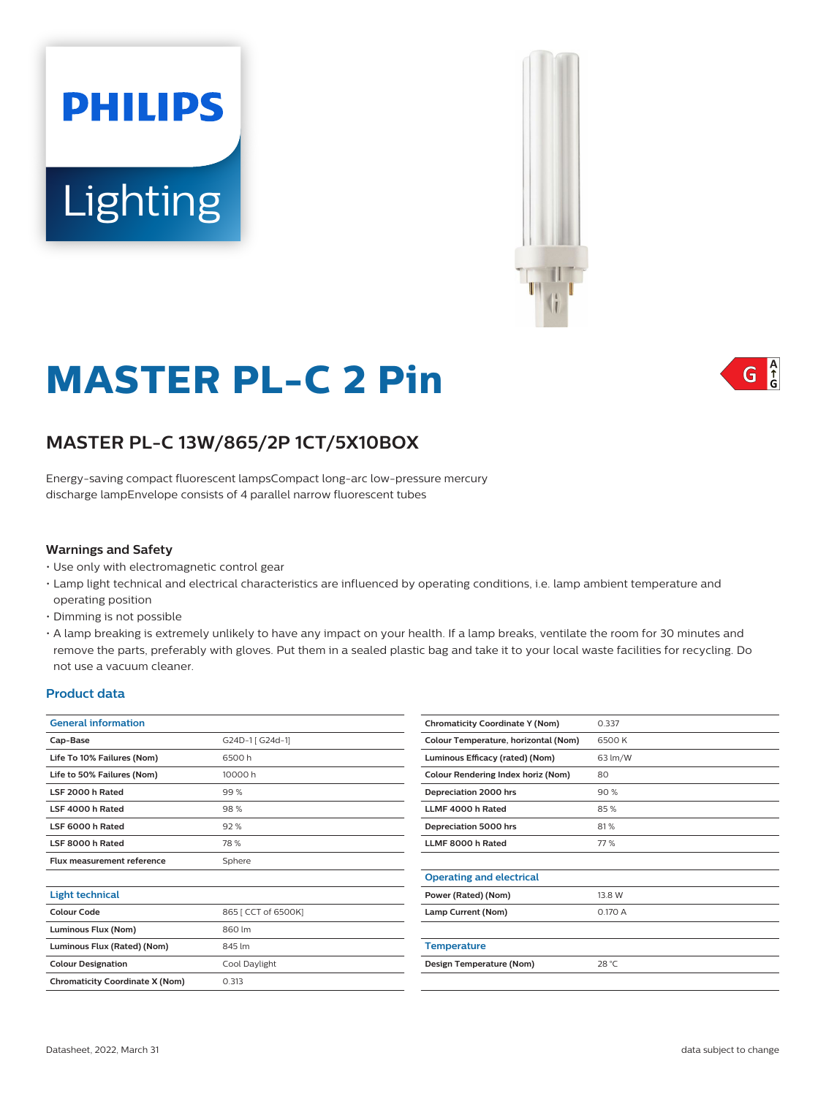



# **MASTER PL-C 2 Pin**

## **MASTER PL-C 13W/865/2P 1CT/5X10BOX**

Energy-saving compact fluorescent lampsCompact long-arc low-pressure mercury discharge lampEnvelope consists of 4 parallel narrow fluorescent tubes

#### **Warnings and Safety**

- Use only with electromagnetic control gear
- Lamp light technical and electrical characteristics are influenced by operating conditions, i.e. lamp ambient temperature and operating position
- Dimming is not possible
- A lamp breaking is extremely unlikely to have any impact on your health. If a lamp breaks, ventilate the room for 30 minutes and remove the parts, preferably with gloves. Put them in a sealed plastic bag and take it to your local waste facilities for recycling. Do not use a vacuum cleaner.

#### **Product data**

| <b>General information</b>             |                     |  |  |  |
|----------------------------------------|---------------------|--|--|--|
| Cap-Base                               | G24D-1 [ G24d-1]    |  |  |  |
| Life To 10% Failures (Nom)             | 6500 h              |  |  |  |
| Life to 50% Failures (Nom)             | 10000 h             |  |  |  |
| LSF 2000 h Rated                       | 99%                 |  |  |  |
| LSF 4000 h Rated                       | 98%                 |  |  |  |
| LSF 6000 h Rated                       | 92%                 |  |  |  |
| LSF 8000 h Rated                       | 78%                 |  |  |  |
| Flux measurement reference             | Sphere              |  |  |  |
|                                        |                     |  |  |  |
| <b>Light technical</b>                 |                     |  |  |  |
| Colour Code                            | 865 [ CCT of 6500K] |  |  |  |
| Luminous Flux (Nom)                    | 860 lm              |  |  |  |
| Luminous Flux (Rated) (Nom)            | 845 lm              |  |  |  |
| <b>Colour Designation</b>              | Cool Daylight       |  |  |  |
| <b>Chromaticity Coordinate X (Nom)</b> | 0.313               |  |  |  |
|                                        |                     |  |  |  |

| <b>Chromaticity Coordinate Y (Nom)</b> | 0.337   |
|----------------------------------------|---------|
| Colour Temperature, horizontal (Nom)   | 6500K   |
| Luminous Efficacy (rated) (Nom)        | 63 lm/W |
| Colour Rendering Index horiz (Nom)     | 80      |
| Depreciation 2000 hrs                  | 90%     |
| LLMF 4000 h Rated                      | 85%     |
| Depreciation 5000 hrs                  | 81%     |
| LLMF 8000 h Rated                      | 77%     |
|                                        |         |
| <b>Operating and electrical</b>        |         |
| Power (Rated) (Nom)                    | 13.8 W  |
| Lamp Current (Nom)                     | 0.170 A |
|                                        |         |
| <b>Temperature</b>                     |         |
| Design Temperature (Nom)               | 28 °C   |
|                                        |         |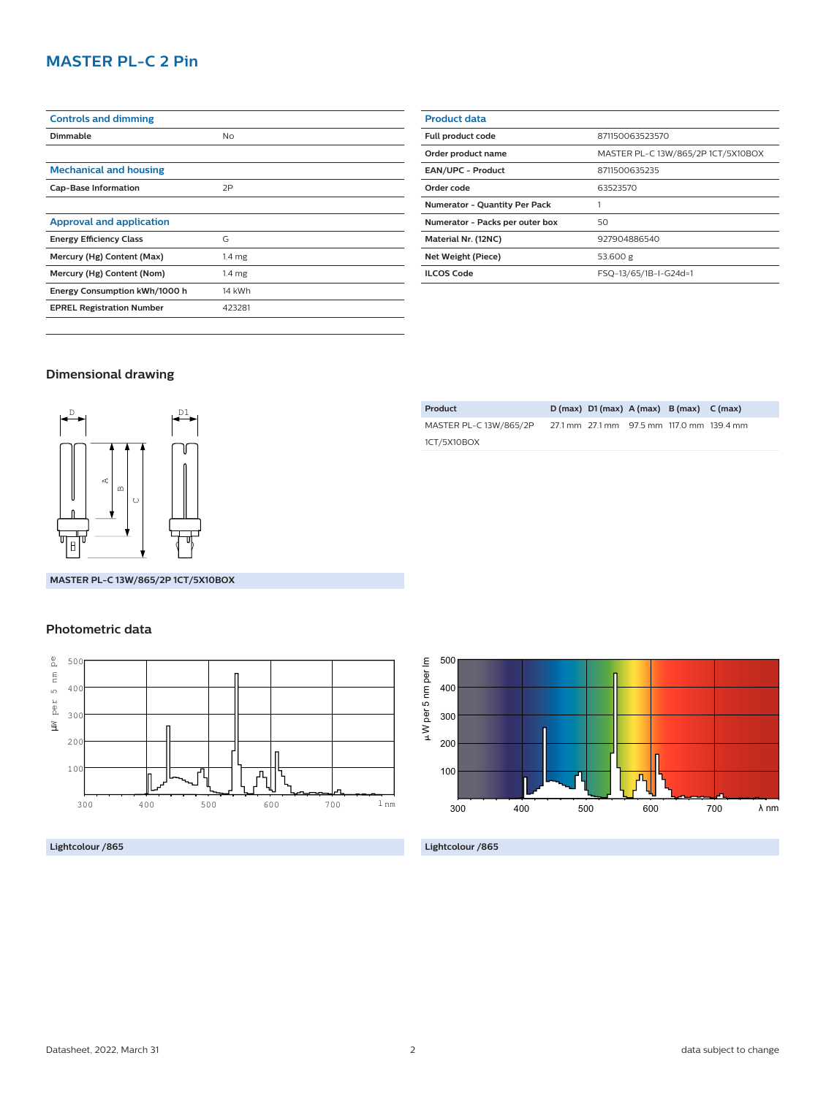## **MASTER PL-C 2 Pin**

| <b>Controls and dimming</b>      |                   |
|----------------------------------|-------------------|
| Dimmable                         | No                |
|                                  |                   |
| <b>Mechanical and housing</b>    |                   |
| <b>Cap-Base Information</b>      | 2P                |
|                                  |                   |
| <b>Approval and application</b>  |                   |
| <b>Energy Efficiency Class</b>   | G                 |
| Mercury (Hg) Content (Max)       | 1.4 <sub>mg</sub> |
| Mercury (Hg) Content (Nom)       | 1.4 <sub>mg</sub> |
| Energy Consumption kWh/1000 h    | 14 kWh            |
| <b>EPREL Registration Number</b> | 423281            |
|                                  |                   |

| <b>Product data</b>                  |                                    |  |  |  |
|--------------------------------------|------------------------------------|--|--|--|
| Full product code                    | 871150063523570                    |  |  |  |
| Order product name                   | MASTER PL-C 13W/865/2P 1CT/5X10BOX |  |  |  |
| <b>EAN/UPC - Product</b>             | 8711500635235                      |  |  |  |
| Order code                           | 63523570                           |  |  |  |
| <b>Numerator - Quantity Per Pack</b> |                                    |  |  |  |
| Numerator - Packs per outer box      | 50                                 |  |  |  |
| Material Nr. (12NC)                  | 927904886540                       |  |  |  |
| Net Weight (Piece)                   | 53.600 g                           |  |  |  |
| <b>ILCOS Code</b>                    | FSQ-13/65/1B-I-G24d=1              |  |  |  |
|                                      |                                    |  |  |  |

### **Dimensional drawing**



**MASTER PL-C 13W/865/2P 1CT/5X10BOX**

#### **Photometric data**



**Lightcolour /865**

| Product                |  | $D(max)$ $D1(max)$ $A(max)$ $B(max)$ $C(max)$ |                                           |
|------------------------|--|-----------------------------------------------|-------------------------------------------|
| MASTER PL-C 13W/865/2P |  |                                               | 27.1 mm 27.1 mm 97.5 mm 117.0 mm 139.4 mm |
| 1CT/5X10BOX            |  |                                               |                                           |



**Lightcolour /865**